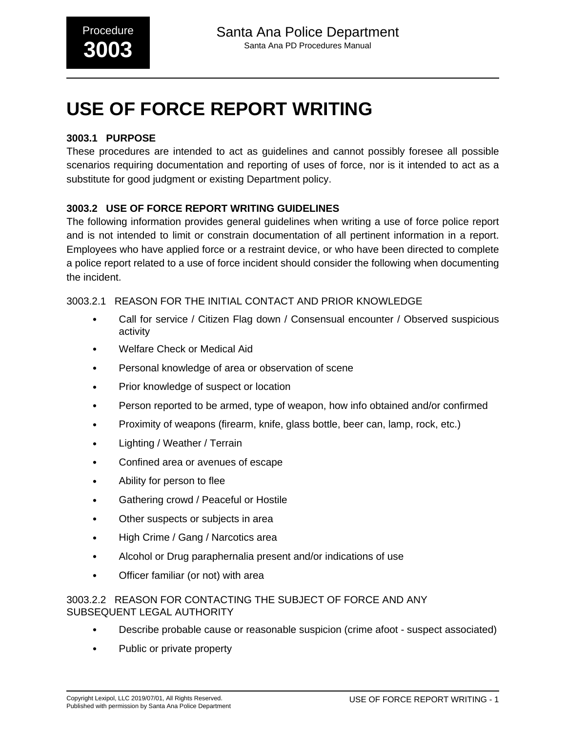# **USE OF FORCE REPORT WRITING**

# **3003.1 PURPOSE**

These procedures are intended to act as guidelines and cannot possibly foresee all possible scenarios requiring documentation and reporting of uses of force, nor is it intended to act as a substitute for good judgment or existing Department policy.

# **3003.2 USE OF FORCE REPORT WRITING GUIDELINES**

The following information provides general guidelines when writing a use of force police report and is not intended to limit or constrain documentation of all pertinent information in a report. Employees who have applied force or a restraint device, or who have been directed to complete a police report related to a use of force incident should consider the following when documenting the incident.

## 3003.2.1 REASON FOR THE INITIAL CONTACT AND PRIOR KNOWLEDGE

- Call for service / Citizen Flag down / Consensual encounter / Observed suspicious activity
- Welfare Check or Medical Aid
- Personal knowledge of area or observation of scene
- Prior knowledge of suspect or location
- Person reported to be armed, type of weapon, how info obtained and/or confirmed
- Proximity of weapons (firearm, knife, glass bottle, beer can, lamp, rock, etc.)
- Lighting / Weather / Terrain
- Confined area or avenues of escape
- Ability for person to flee
- Gathering crowd / Peaceful or Hostile
- Other suspects or subjects in area
- High Crime / Gang / Narcotics area
- Alcohol or Drug paraphernalia present and/or indications of use
- Officer familiar (or not) with area

#### 3003.2.2 REASON FOR CONTACTING THE SUBJECT OF FORCE AND ANY SUBSEQUENT LEGAL AUTHORITY

- Describe probable cause or reasonable suspicion (crime afoot suspect associated)
- Public or private property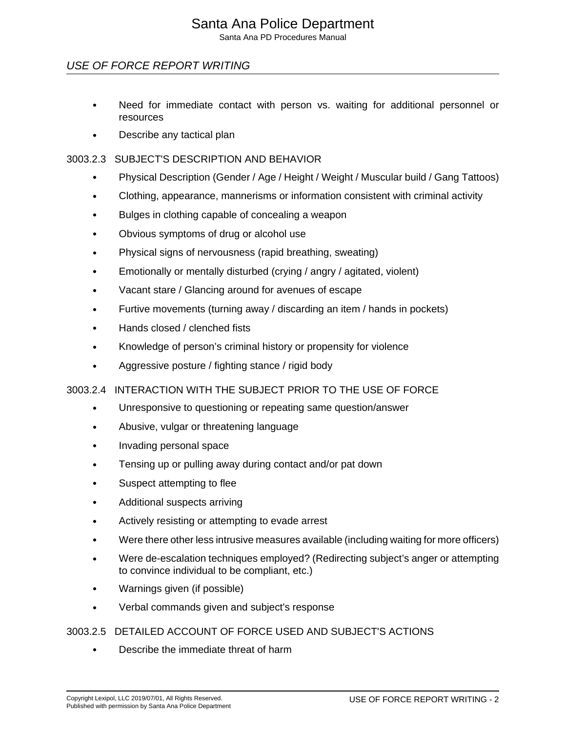# Santa Ana Police Department

Santa Ana PD Procedures Manual

# USE OF FORCE REPORT WRITING

- Need for immediate contact with person vs. waiting for additional personnel or resources
- Describe any tactical plan

#### 3003.2.3 SUBJECT'S DESCRIPTION AND BEHAVIOR

- Physical Description (Gender / Age / Height / Weight / Muscular build / Gang Tattoos)
- Clothing, appearance, mannerisms or information consistent with criminal activity
- Bulges in clothing capable of concealing a weapon
- Obvious symptoms of drug or alcohol use
- Physical signs of nervousness (rapid breathing, sweating)
- Emotionally or mentally disturbed (crying / angry / agitated, violent)
- Vacant stare / Glancing around for avenues of escape
- Furtive movements (turning away / discarding an item / hands in pockets)
- Hands closed / clenched fists
- Knowledge of person's criminal history or propensity for violence
- Aggressive posture / fighting stance / rigid body

#### 3003.2.4 INTERACTION WITH THE SUBJECT PRIOR TO THE USE OF FORCE

- Unresponsive to questioning or repeating same question/answer
- Abusive, vulgar or threatening language
- Invading personal space
- Tensing up or pulling away during contact and/or pat down
- Suspect attempting to flee
- Additional suspects arriving
- Actively resisting or attempting to evade arrest
- Were there other less intrusive measures available (including waiting for more officers)
- Were de-escalation techniques employed? (Redirecting subject's anger or attempting to convince individual to be compliant, etc.)
- Warnings given (if possible)
- Verbal commands given and subject's response

#### 3003.2.5 DETAILED ACCOUNT OF FORCE USED AND SUBJECT'S ACTIONS

• Describe the immediate threat of harm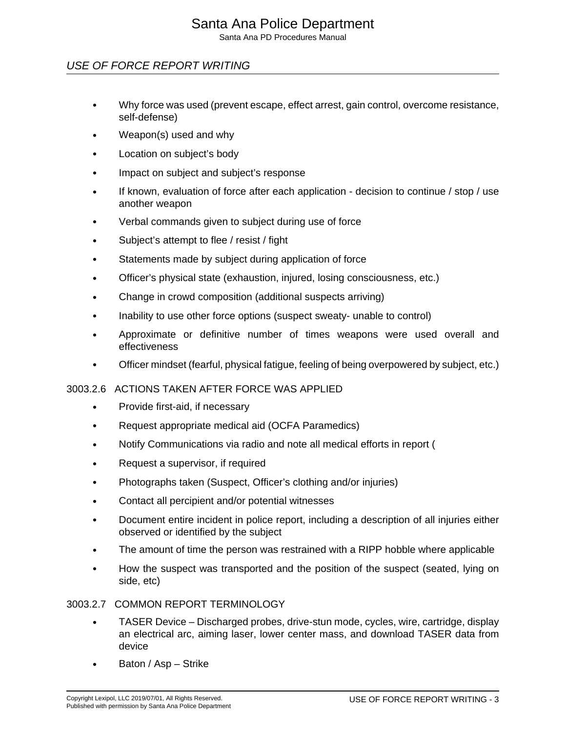# Santa Ana Police Department

Santa Ana PD Procedures Manual

# USE OF FORCE REPORT WRITING

- Why force was used (prevent escape, effect arrest, gain control, overcome resistance, self-defense)
- Weapon(s) used and why
- Location on subject's body
- Impact on subject and subject's response
- If known, evaluation of force after each application decision to continue / stop / use another weapon
- Verbal commands given to subject during use of force
- Subject's attempt to flee / resist / fight
- Statements made by subject during application of force
- Officer's physical state (exhaustion, injured, losing consciousness, etc.)
- Change in crowd composition (additional suspects arriving)
- Inability to use other force options (suspect sweaty- unable to control)
- Approximate or definitive number of times weapons were used overall and effectiveness
- Officer mindset (fearful, physical fatigue, feeling of being overpowered by subject, etc.)

## 3003.2.6 ACTIONS TAKEN AFTER FORCE WAS APPLIED

- Provide first-aid, if necessary
- Request appropriate medical aid (OCFA Paramedics)
- Notify Communications via radio and note all medical efforts in report (
- Request a supervisor, if required
- Photographs taken (Suspect, Officer's clothing and/or injuries)
- Contact all percipient and/or potential witnesses
- Document entire incident in police report, including a description of all injuries either observed or identified by the subject
- The amount of time the person was restrained with a RIPP hobble where applicable
- How the suspect was transported and the position of the suspect (seated, lying on side, etc)

## 3003.2.7 COMMON REPORT TERMINOLOGY

- TASER Device Discharged probes, drive-stun mode, cycles, wire, cartridge, display an electrical arc, aiming laser, lower center mass, and download TASER data from device
- Baton / Asp Strike